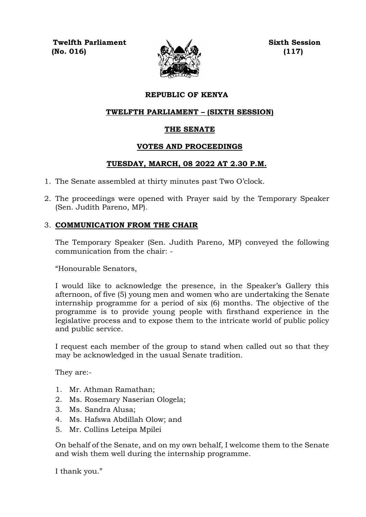**Twelfth Parliament Sixth Session (No. 016) (117)**



# **REPUBLIC OF KENYA**

## **TWELFTH PARLIAMENT – (SIXTH SESSION)**

# **THE SENATE**

# **VOTES AND PROCEEDINGS**

# **TUESDAY, MARCH, 08 2022 AT 2.30 P.M.**

- 1. The Senate assembled at thirty minutes past Two O'clock.
- 2. The proceedings were opened with Prayer said by the Temporary Speaker (Sen. Judith Pareno, MP).

# 3. **COMMUNICATION FROM THE CHAIR**

The Temporary Speaker (Sen. Judith Pareno, MP) conveyed the following communication from the chair: -

"Honourable Senators,

I would like to acknowledge the presence, in the Speaker's Gallery this afternoon, of five (5) young men and women who are undertaking the Senate internship programme for a period of six (6) months. The objective of the programme is to provide young people with firsthand experience in the legislative process and to expose them to the intricate world of public policy and public service.

I request each member of the group to stand when called out so that they may be acknowledged in the usual Senate tradition.

They are:-

- 1. Mr. Athman Ramathan;
- 2. Ms. Rosemary Naserian Ologela;
- 3. Ms. Sandra Alusa;
- 4. Ms. Hafswa Abdillah Olow; and
- 5. Mr. Collins Leteipa Mpilei

On behalf of the Senate, and on my own behalf, I welcome them to the Senate and wish them well during the internship programme.

I thank you."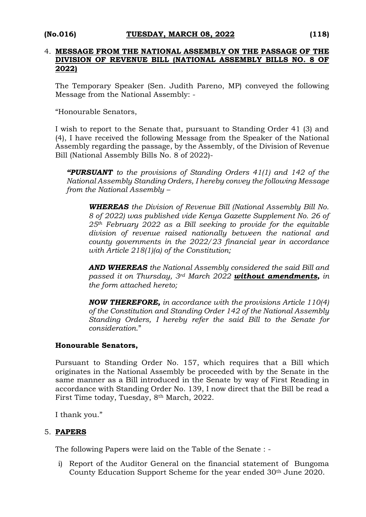#### 4. **MESSAGE FROM THE NATIONAL ASSEMBLY ON THE PASSAGE OF THE DIVISION OF REVENUE BILL (NATIONAL ASSEMBLY BILLS NO. 8 OF 2022)**

The Temporary Speaker (Sen. Judith Pareno, MP) conveyed the following Message from the National Assembly: -

"Honourable Senators,

I wish to report to the Senate that, pursuant to Standing Order 41 (3) and (4), I have received the following Message from the Speaker of the National Assembly regarding the passage, by the Assembly, of the Division of Revenue Bill (National Assembly Bills No. 8 of 2022)-

*"PURSUANT to the provisions of Standing Orders 41(1) and 142 of the National Assembly Standing Orders, I hereby convey the following Message from the National Assembly –*

*WHEREAS the Division of Revenue Bill (National Assembly Bill No. 8 of 2022) was published vide Kenya Gazette Supplement No. 26 of 25th February 2022 as a Bill seeking to provide for the equitable division of revenue raised nationally between the national and county governments in the 2022/23 financial year in accordance with Article 218(1)(a) of the Constitution;*

*AND WHEREAS the National Assembly considered the said Bill and passed it on Thursday, 3rd March 2022 without amendments, in the form attached hereto;*

*NOW THEREFORE, in accordance with the provisions Article 110(4) of the Constitution and Standing Order 142 of the National Assembly Standing Orders, I hereby refer the said Bill to the Senate for consideration*."

### **Honourable Senators,**

Pursuant to Standing Order No. 157, which requires that a Bill which originates in the National Assembly be proceeded with by the Senate in the same manner as a Bill introduced in the Senate by way of First Reading in accordance with Standing Order No. 139, I now direct that the Bill be read a First Time today, Tuesday, 8th March, 2022.

I thank you."

### 5. **PAPERS**

The following Papers were laid on the Table of the Senate : -

i) Report of the Auditor General on the financial statement of Bungoma County Education Support Scheme for the year ended 30<sup>th</sup> June 2020.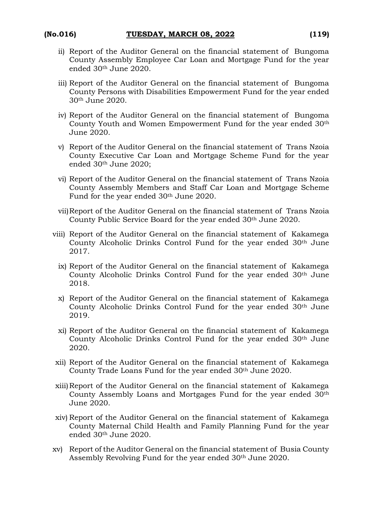- ii) Report of the Auditor General on the financial statement of Bungoma County Assembly Employee Car Loan and Mortgage Fund for the year ended 30th June 2020.
- iii) Report of the Auditor General on the financial statement of Bungoma County Persons with Disabilities Empowerment Fund for the year ended 30th June 2020.
- iv) Report of the Auditor General on the financial statement of Bungoma County Youth and Women Empowerment Fund for the year ended 30th June 2020.
- v) Report of the Auditor General on the financial statement of Trans Nzoia County Executive Car Loan and Mortgage Scheme Fund for the year ended 30th June 2020;
- vi) Report of the Auditor General on the financial statement of Trans Nzoia County Assembly Members and Staff Car Loan and Mortgage Scheme Fund for the year ended 30<sup>th</sup> June 2020.
- vii)Report of the Auditor General on the financial statement of Trans Nzoia County Public Service Board for the year ended 30th June 2020.
- viii) Report of the Auditor General on the financial statement of Kakamega County Alcoholic Drinks Control Fund for the year ended 30th June 2017.
	- ix) Report of the Auditor General on the financial statement of Kakamega County Alcoholic Drinks Control Fund for the year ended 30th June 2018.
	- x) Report of the Auditor General on the financial statement of Kakamega County Alcoholic Drinks Control Fund for the year ended 30th June 2019.
	- xi) Report of the Auditor General on the financial statement of Kakamega County Alcoholic Drinks Control Fund for the year ended 30th June 2020.
- xii) Report of the Auditor General on the financial statement of Kakamega County Trade Loans Fund for the year ended 30<sup>th</sup> June 2020.
- xiii)Report of the Auditor General on the financial statement of Kakamega County Assembly Loans and Mortgages Fund for the year ended 30th June 2020.
- xiv) Report of the Auditor General on the financial statement of Kakamega County Maternal Child Health and Family Planning Fund for the year ended 30th June 2020.
- xv) Report of the Auditor General on the financial statement of Busia County Assembly Revolving Fund for the year ended 30th June 2020.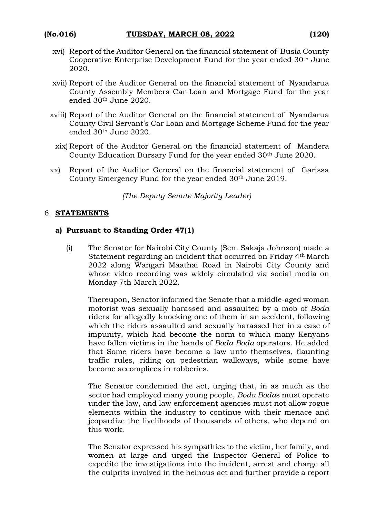- xvi) Report of the Auditor General on the financial statement of Busia County Cooperative Enterprise Development Fund for the year ended 30th June 2020.
- xvii) Report of the Auditor General on the financial statement of Nyandarua County Assembly Members Car Loan and Mortgage Fund for the year ended 30th June 2020.
- xviii) Report of the Auditor General on the financial statement of Nyandarua County Civil Servant's Car Loan and Mortgage Scheme Fund for the year ended 30th June 2020.
	- xix) Report of the Auditor General on the financial statement of Mandera County Education Bursary Fund for the year ended 30<sup>th</sup> June 2020.
- xx) Report of the Auditor General on the financial statement of Garissa County Emergency Fund for the year ended 30th June 2019.

*(The Deputy Senate Majority Leader)*

#### 6. **STATEMENTS**

#### **a) Pursuant to Standing Order 47(1)**

(i) The Senator for Nairobi City County (Sen. Sakaja Johnson) made a Statement regarding an incident that occurred on Friday 4th March 2022 along Wangari Maathai Road in Nairobi City County and whose video recording was widely circulated via social media on Monday 7th March 2022.

Thereupon, Senator informed the Senate that a middle-aged woman motorist was sexually harassed and assaulted by a mob of *Boda* riders for allegedly knocking one of them in an accident, following which the riders assaulted and sexually harassed her in a case of impunity, which had become the norm to which many Kenyans have fallen victims in the hands of *Boda Boda* operators. He added that Some riders have become a law unto themselves, flaunting traffic rules, riding on pedestrian walkways, while some have become accomplices in robberies.

The Senator condemned the act, urging that, in as much as the sector had employed many young people, *Boda Boda*s must operate under the law, and law enforcement agencies must not allow rogue elements within the industry to continue with their menace and jeopardize the livelihoods of thousands of others, who depend on this work.

The Senator expressed his sympathies to the victim, her family, and women at large and urged the Inspector General of Police to expedite the investigations into the incident, arrest and charge all the culprits involved in the heinous act and further provide a report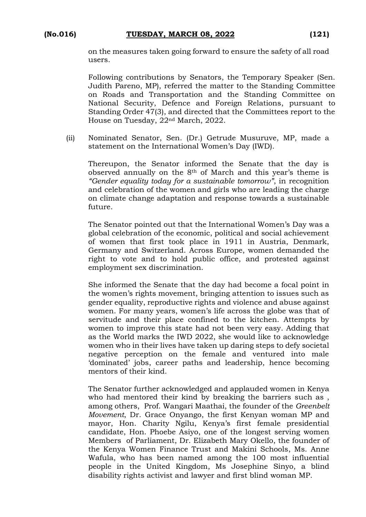on the measures taken going forward to ensure the safety of all road users.

Following contributions by Senators, the Temporary Speaker (Sen. Judith Pareno, MP), referred the matter to the Standing Committee on Roads and Transportation and the Standing Committee on National Security, Defence and Foreign Relations, pursuant to Standing Order 47(3), and directed that the Committees report to the House on Tuesday, 22nd March, 2022.

(ii) Nominated Senator, Sen. (Dr.) Getrude Musuruve, MP, made a statement on the International Women's Day (IWD).

Thereupon, the Senator informed the Senate that the day is observed annually on the 8th of March and this year's theme is *"Gender equality today for a sustainable tomorrow"*, in recognition and celebration of the women and girls who are leading the charge on climate change adaptation and response towards a sustainable future.

The Senator pointed out that the International Women's Day was a global celebration of the economic, political and social achievement of women that first took place in 1911 in Austria, Denmark, Germany and Switzerland. Across Europe, women demanded the right to vote and to hold public office, and protested against employment sex discrimination.

She informed the Senate that the day had become a focal point in the women's rights movement, bringing attention to issues such as gender equality, reproductive rights and violence and abuse against women. For many years, women's life across the globe was that of servitude and their place confined to the kitchen. Attempts by women to improve this state had not been very easy. Adding that as the World marks the IWD 2022, she would like to acknowledge women who in their lives have taken up daring steps to defy societal negative perception on the female and ventured into male 'dominated' jobs, career paths and leadership, hence becoming mentors of their kind.

The Senator further acknowledged and applauded women in Kenya who had mentored their kind by breaking the barriers such as , among others, Prof. Wangari Maathai, the founder of the *Greenbelt Movement*, Dr. Grace Onyango, the first Kenyan woman MP and mayor, Hon. Charity Ngilu, Kenya's first female presidential candidate, Hon. Phoebe Asiyo, one of the longest serving women Members of Parliament, Dr. Elizabeth Mary Okello, the founder of the Kenya Women Finance Trust and Makini Schools, Ms. Anne Wafula, who has been named among the 100 most influential people in the United Kingdom, Ms Josephine Sinyo, a blind disability rights activist and lawyer and first blind woman MP.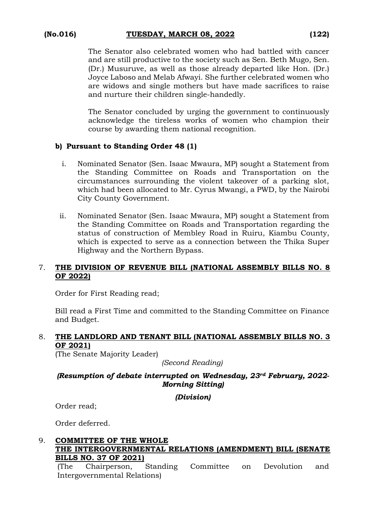The Senator also celebrated women who had battled with cancer and are still productive to the society such as Sen. Beth Mugo, Sen. (Dr.) Musuruve, as well as those already departed like Hon. (Dr.) Joyce Laboso and Melab Afwayi. She further celebrated women who are widows and single mothers but have made sacrifices to raise and nurture their children single-handedly.

The Senator concluded by urging the government to continuously acknowledge the tireless works of women who champion their course by awarding them national recognition.

# **b) Pursuant to Standing Order 48 (1)**

- i. Nominated Senator (Sen. Isaac Mwaura, MP) sought a Statement from the Standing Committee on Roads and Transportation on the circumstances surrounding the violent takeover of a parking slot, which had been allocated to Mr. Cyrus Mwangi, a PWD, by the Nairobi City County Government.
- ii. Nominated Senator (Sen. Isaac Mwaura, MP) sought a Statement from the Standing Committee on Roads and Transportation regarding the status of construction of Membley Road in Ruiru, Kiambu County, which is expected to serve as a connection between the Thika Super Highway and the Northern Bypass.

### 7. **THE DIVISION OF REVENUE BILL (NATIONAL ASSEMBLY BILLS NO. 8 OF 2022)**

Order for First Reading read;

Bill read a First Time and committed to the Standing Committee on Finance and Budget.

# 8. **THE LANDLORD AND TENANT BILL (NATIONAL ASSEMBLY BILLS NO. 3 OF 2021)**

(The Senate Majority Leader)

*(Second Reading)*

# *(Resumption of debate interrupted on Wednesday, 23rd February, 2022- Morning Sitting)*

*(Division)*

Order read;

Order deferred.

# 9. **COMMITTEE OF THE WHOLE THE INTERGOVERNMENTAL RELATIONS (AMENDMENT) BILL (SENATE BILLS NO. 37 OF 2021)**

(The Chairperson, Standing Committee on Devolution and Intergovernmental Relations)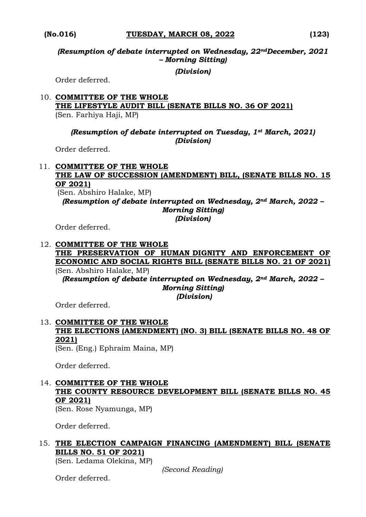*(Resumption of debate interrupted on Wednesday, 22ndDecember, 2021 – Morning Sitting)*

*(Division)*

Order deferred.

#### 10. **COMMITTEE OF THE WHOLE THE LIFESTYLE AUDIT BILL (SENATE BILLS NO. 36 OF 2021)**  (Sen. Farhiya Haji, MP)

#### *(Resumption of debate interrupted on Tuesday, 1st March, 2021) (Division)*

Order deferred.

#### 11. **COMMITTEE OF THE WHOLE THE LAW OF SUCCESSION (AMENDMENT) BILL, (SENATE BILLS NO. 15 OF 2021)**

(Sen. Abshiro Halake, MP)

*(Resumption of debate interrupted on Wednesday, 2nd March, 2022 – Morning Sitting)* 

*(Division)*

Order deferred.

#### 12. **COMMITTEE OF THE WHOLE THE PRESERVATION OF HUMAN DIGNITY AND ENFORCEMENT OF ECONOMIC AND SOCIAL RIGHTS BILL (SENATE BILLS NO. 21 OF 2021)**  (Sen. Abshiro Halake, MP) *(Resumption of debate interrupted on Wednesday, 2nd March, 2022 – Morning Sitting) (Division)*

Order deferred.

# 13. **COMMITTEE OF THE WHOLE THE ELECTIONS (AMENDMENT) (NO. 3) BILL (SENATE BILLS NO. 48 OF 2021)**

(Sen. (Eng.) Ephraim Maina, MP)

Order deferred.

# 14. **COMMITTEE OF THE WHOLE THE COUNTY RESOURCE DEVELOPMENT BILL (SENATE BILLS NO. 45 OF 2021)**

(Sen. Rose Nyamunga, MP)

Order deferred.

# 15. **THE ELECTION CAMPAIGN FINANCING (AMENDMENT) BILL (SENATE BILLS NO. 51 OF 2021)**

(Sen. Ledama Olekina, MP)

*(Second Reading)*

Order deferred.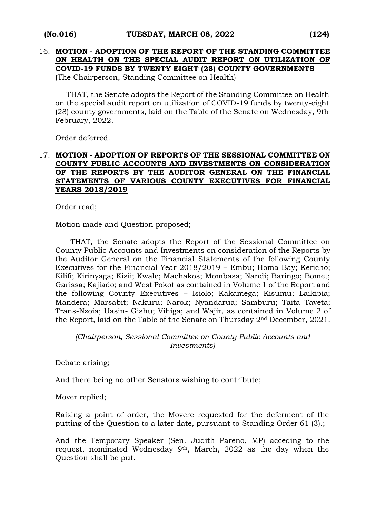# 16. **MOTION - ADOPTION OF THE REPORT OF THE STANDING COMMITTEE ON HEALTH ON THE SPECIAL AUDIT REPORT ON UTILIZATION OF COVID-19 FUNDS BY TWENTY EIGHT (28) COUNTY GOVERNMENTS**

(The Chairperson, Standing Committee on Health)

THAT, the Senate adopts the Report of the Standing Committee on Health on the special audit report on utilization of COVID-19 funds by twenty-eight (28) county governments, laid on the Table of the Senate on Wednesday, 9th February, 2022.

Order deferred.

## 17. **MOTION - ADOPTION OF REPORTS OF THE SESSIONAL COMMITTEE ON COUNTY PUBLIC ACCOUNTS AND INVESTMENTS ON CONSIDERATION OF THE REPORTS BY THE AUDITOR GENERAL ON THE FINANCIAL STATEMENTS OF VARIOUS COUNTY EXECUTIVES FOR FINANCIAL YEARS 2018/2019**

Order read;

Motion made and Question proposed;

THAT**,** the Senate adopts the Report of the Sessional Committee on County Public Accounts and Investments on consideration of the Reports by the Auditor General on the Financial Statements of the following County Executives for the Financial Year 2018/2019 – Embu; Homa-Bay; Kericho; Kilifi; Kirinyaga; Kisii; Kwale; Machakos; Mombasa; Nandi; Baringo; Bomet; Garissa; Kajiado; and West Pokot as contained in Volume 1 of the Report and the following County Executives – Isiolo; Kakamega; Kisumu; Laikipia; Mandera; Marsabit; Nakuru; Narok; Nyandarua; Samburu; Taita Taveta; Trans-Nzoia; Uasin- Gishu; Vihiga; and Wajir, as contained in Volume 2 of the Report, laid on the Table of the Senate on Thursday 2nd December, 2021.

*(Chairperson, Sessional Committee on County Public Accounts and Investments)*

Debate arising;

And there being no other Senators wishing to contribute;

Mover replied;

Raising a point of order, the Movere requested for the deferment of the putting of the Question to a later date, pursuant to Standing Order 61 (3).;

And the Temporary Speaker (Sen. Judith Pareno, MP) acceding to the request, nominated Wednesday 9th, March, 2022 as the day when the Question shall be put.